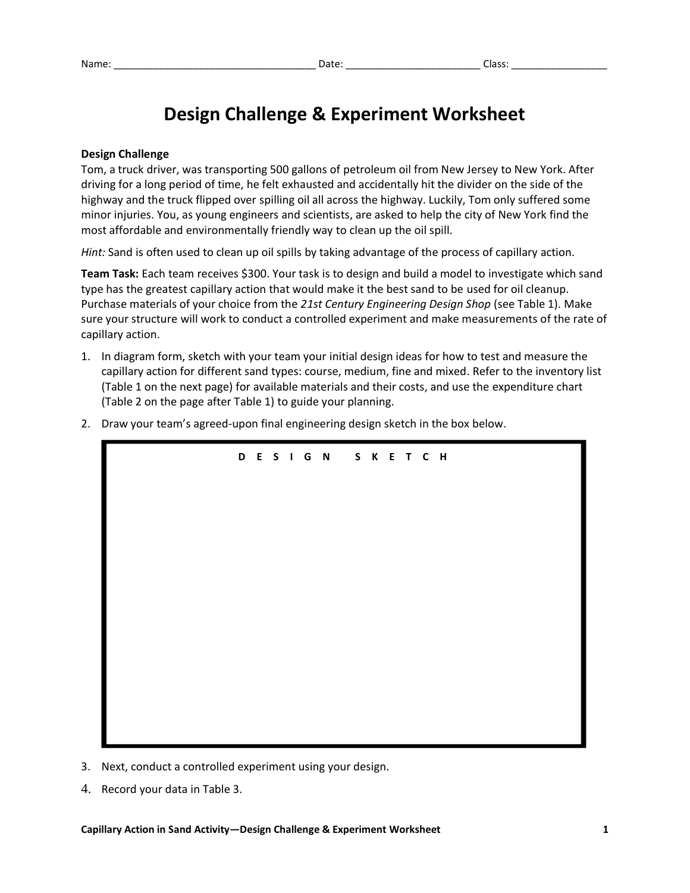## **Design Challenge & Experiment Worksheet**

## **Design Challenge**

Tom, a truck driver, was transporting 500 gallons of petroleum oil from New Jersey to New York. After driving for a long period of time, he felt exhausted and accidentally hit the divider on the side of the highway and the truck flipped over spilling oil all across the highway. Luckily, Tom only suffered some minor injuries. You, as young engineers and scientists, are asked to help the city of New York find the most affordable and environmentally friendly way to clean up the oil spill.

*Hint:* Sand is often used to clean up oil spills by taking advantage of the process of capillary action.

**Team Task:** Each team receives \$300. Your task is to design and build a model to investigate which sand type has the greatest capillary action that would make it the best sand to be used for oil cleanup. Purchase materials of your choice from the *21st Century Engineering Design Shop* (see Table 1). Make sure your structure will work to conduct a controlled experiment and make measurements of the rate of capillary action.

- 1. In diagram form, sketch with your team your initial design ideas for how to test and measure the capillary action for different sand types: course, medium, fine and mixed. Refer to the inventory list (Table 1 on the next page) for available materials and their costs, and use the expenditure chart (Table 2 on the page after Table 1) to guide your planning.
- 2. Draw your team's agreed-upon final engineering design sketch in the box below.



- 3. Next, conduct a controlled experiment using your design.
- 4. Record your data in Table 3.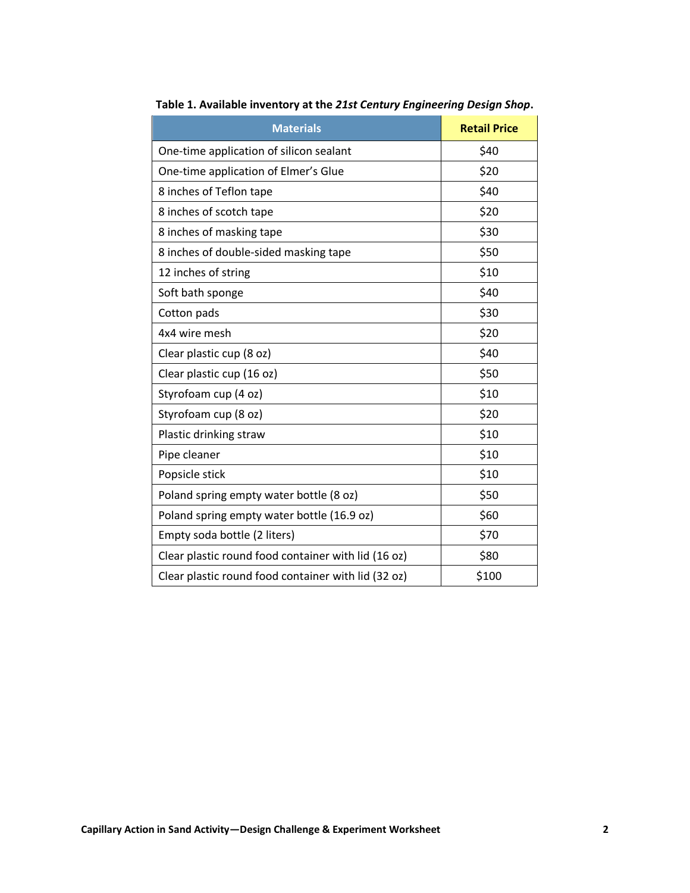| <b>Materials</b>                                    | <b>Retail Price</b> |
|-----------------------------------------------------|---------------------|
| One-time application of silicon sealant             | \$40                |
| One-time application of Elmer's Glue                | \$20                |
| 8 inches of Teflon tape                             | \$40                |
| 8 inches of scotch tape                             | \$20                |
| 8 inches of masking tape                            | \$30                |
| 8 inches of double-sided masking tape               | \$50                |
| 12 inches of string                                 | \$10                |
| Soft bath sponge                                    | \$40                |
| Cotton pads                                         | \$30                |
| 4x4 wire mesh                                       | \$20                |
| Clear plastic cup (8 oz)                            | \$40                |
| Clear plastic cup (16 oz)                           | \$50                |
| Styrofoam cup (4 oz)                                | \$10                |
| Styrofoam cup (8 oz)                                | \$20                |
| Plastic drinking straw                              | \$10                |
| Pipe cleaner                                        | \$10                |
| Popsicle stick                                      | \$10                |
| Poland spring empty water bottle (8 oz)             | \$50                |
| Poland spring empty water bottle (16.9 oz)          | \$60                |
| Empty soda bottle (2 liters)                        | \$70                |
| Clear plastic round food container with lid (16 oz) | \$80                |
| Clear plastic round food container with lid (32 oz) | \$100               |

**Table 1. Available inventory at the** *21st Century Engineering Design Shop***.**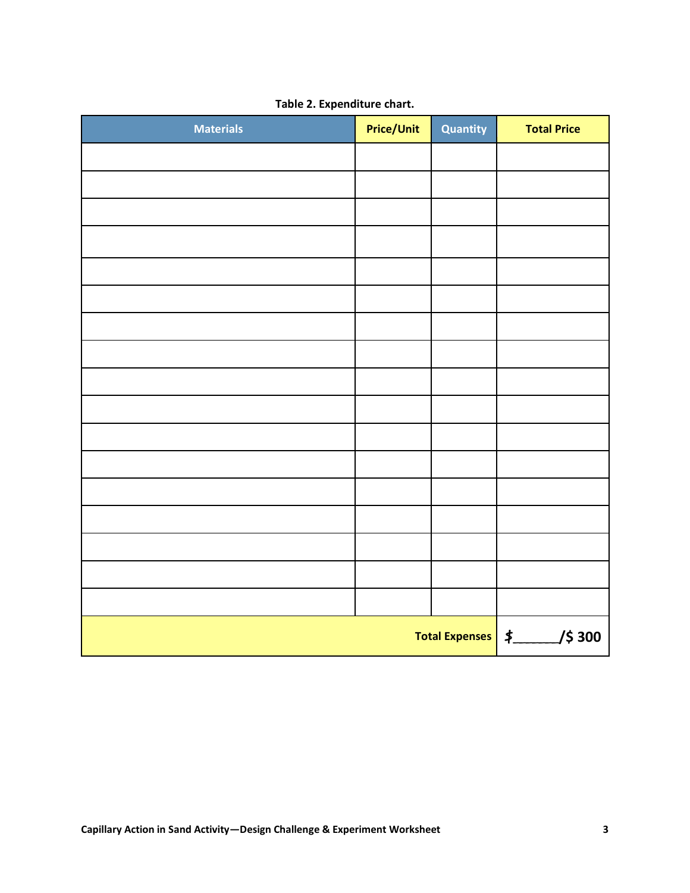| <b>Materials</b>    | <b>Price/Unit</b> | Quantity | <b>Total Price</b> |
|---------------------|-------------------|----------|--------------------|
|                     |                   |          |                    |
|                     |                   |          |                    |
|                     |                   |          |                    |
|                     |                   |          |                    |
|                     |                   |          |                    |
|                     |                   |          |                    |
|                     |                   |          |                    |
|                     |                   |          |                    |
|                     |                   |          |                    |
|                     |                   |          |                    |
|                     |                   |          |                    |
|                     |                   |          |                    |
|                     |                   |          |                    |
|                     |                   |          |                    |
|                     |                   |          |                    |
|                     |                   |          |                    |
|                     |                   |          |                    |
| Total Expenses   \$ |                   |          | /\$ 300            |

**Table 2. Expenditure chart.**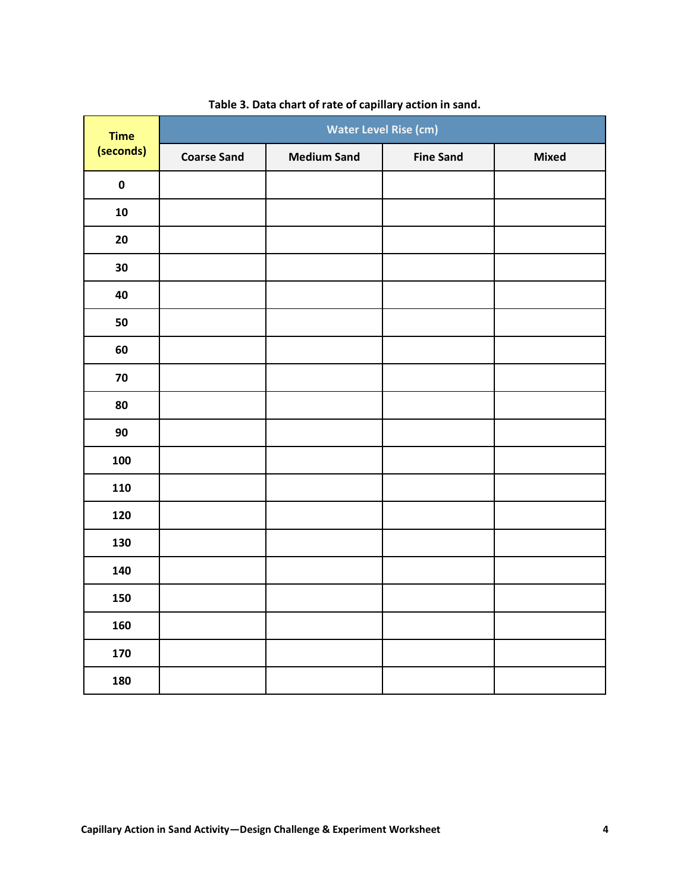| <b>Time</b><br>(seconds) | <b>Water Level Rise (cm)</b> |                    |                  |       |  |
|--------------------------|------------------------------|--------------------|------------------|-------|--|
|                          | <b>Coarse Sand</b>           | <b>Medium Sand</b> | <b>Fine Sand</b> | Mixed |  |
| $\pmb{0}$                |                              |                    |                  |       |  |
| ${\bf 10}$               |                              |                    |                  |       |  |
| 20                       |                              |                    |                  |       |  |
| 30                       |                              |                    |                  |       |  |
| 40                       |                              |                    |                  |       |  |
| 50                       |                              |                    |                  |       |  |
| 60                       |                              |                    |                  |       |  |
| 70                       |                              |                    |                  |       |  |
| 80                       |                              |                    |                  |       |  |
| 90                       |                              |                    |                  |       |  |
| 100                      |                              |                    |                  |       |  |
| 110                      |                              |                    |                  |       |  |
| 120                      |                              |                    |                  |       |  |
| 130                      |                              |                    |                  |       |  |
| 140                      |                              |                    |                  |       |  |
| 150                      |                              |                    |                  |       |  |
| 160                      |                              |                    |                  |       |  |
| 170                      |                              |                    |                  |       |  |
| 180                      |                              |                    |                  |       |  |

## **Table 3. Data chart of rate of capillary action in sand.**